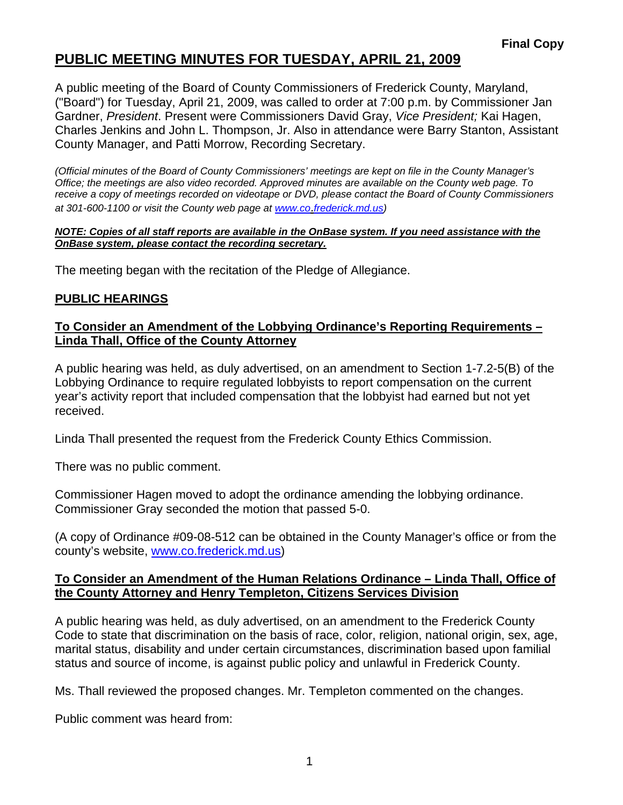# **PUBLIC MEETING MINUTES FOR TUESDAY, APRIL 21, 2009**

A public meeting of the Board of County Commissioners of Frederick County, Maryland, ("Board") for Tuesday, April 21, 2009, was called to order at 7:00 p.m. by Commissioner Jan Gardner, *President*. Present were Commissioners David Gray, *Vice President;* Kai Hagen, Charles Jenkins and John L. Thompson, Jr. Also in attendance were Barry Stanton, Assistant County Manager, and Patti Morrow, Recording Secretary.

*(Official minutes of the Board of County Commissioners' meetings are kept on file in the County Manager's Office; the meetings are also video recorded. Approved minutes are available on the County web page. To receive a copy of meetings recorded on videotape or DVD, please contact the Board of County Commissioners at 301-600-1100 or visit the County web page at [www.co](http://www.co/)*.*frederick.md.us)* 

#### *NOTE: Copies of all staff reports are available in the OnBase system. If you need assistance with the OnBase system, please contact the recording secretary.*

The meeting began with the recitation of the Pledge of Allegiance.

#### **PUBLIC HEARINGS**

### **To Consider an Amendment of the Lobbying Ordinance's Reporting Requirements – Linda Thall, Office of the County Attorney**

A public hearing was held, as duly advertised, on an amendment to Section 1-7.2-5(B) of the Lobbying Ordinance to require regulated lobbyists to report compensation on the current year's activity report that included compensation that the lobbyist had earned but not yet received.

Linda Thall presented the request from the Frederick County Ethics Commission.

There was no public comment.

Commissioner Hagen moved to adopt the ordinance amending the lobbying ordinance. Commissioner Gray seconded the motion that passed 5-0.

(A copy of Ordinance #09-08-512 can be obtained in the County Manager's office or from the county's website, <www.co.frederick.md.us>)

#### **To Consider an Amendment of the Human Relations Ordinance – Linda Thall, Office of the County Attorney and Henry Templeton, Citizens Services Division**

A public hearing was held, as duly advertised, on an amendment to the Frederick County Code to state that discrimination on the basis of race, color, religion, national origin, sex, age, marital status, disability and under certain circumstances, discrimination based upon familial status and source of income, is against public policy and unlawful in Frederick County.

Ms. Thall reviewed the proposed changes. Mr. Templeton commented on the changes.

Public comment was heard from: